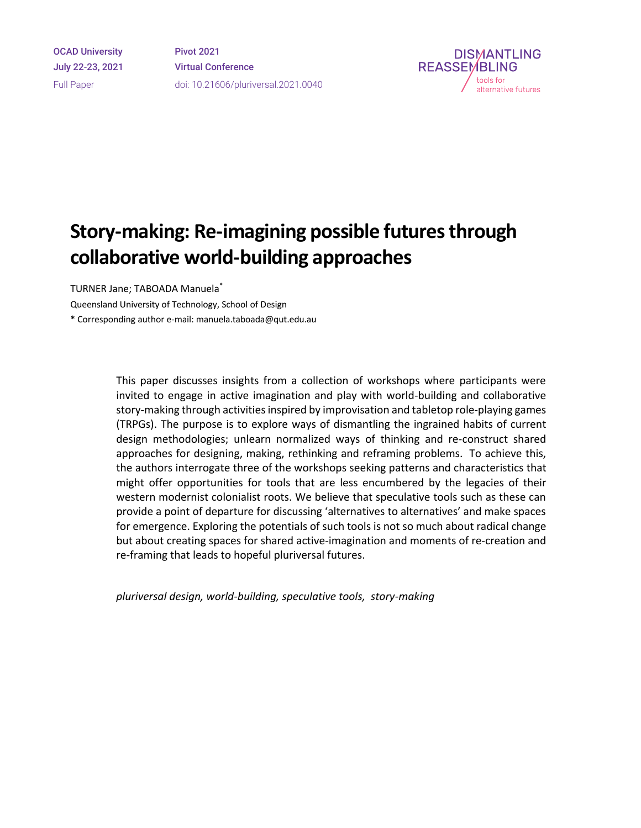OCAD University July 22-23, 2021 Full Paper

Pivot 2021 Virtual Conference doi: 10.21606/pluriversal.2021.0040



# **Story-making: Re-imagining possible futures through collaborative world-building approaches**

TURNER Jane; TABOADA Manuela\*

Queensland University of Technology, School of Design

\* Corresponding author e-mail: manuela.taboada@qut.edu.au

This paper discusses insights from a collection of workshops where participants were invited to engage in active imagination and play with world-building and collaborative story-making through activities inspired by improvisation and tabletop role-playing games (TRPGs). The purpose is to explore ways of dismantling the ingrained habits of current design methodologies; unlearn normalized ways of thinking and re-construct shared approaches for designing, making, rethinking and reframing problems. To achieve this, the authors interrogate three of the workshops seeking patterns and characteristics that might offer opportunities for tools that are less encumbered by the legacies of their western modernist colonialist roots. We believe that speculative tools such as these can provide a point of departure for discussing 'alternatives to alternatives' and make spaces for emergence. Exploring the potentials of such tools is not so much about radical change but about creating spaces for shared active-imagination and moments of re-creation and re-framing that leads to hopeful pluriversal futures.

*pluriversal design, world-building, speculative tools, story-making*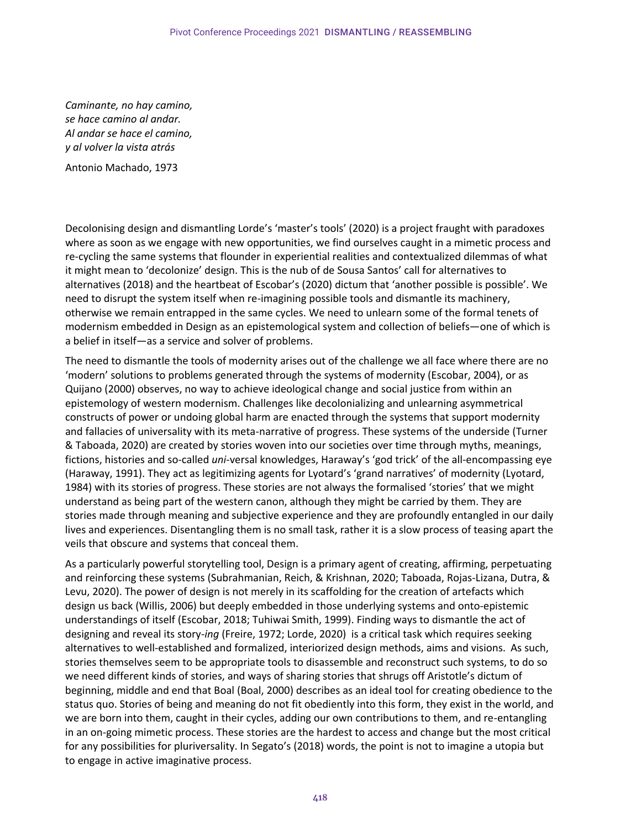*Caminante, no hay camino, se hace camino al andar. Al andar se hace el camino, y al volver la vista atrás*

Antonio Machado, 1973

Decolonising design and dismantling Lorde's 'master's tools' (2020) is a project fraught with paradoxes where as soon as we engage with new opportunities, we find ourselves caught in a mimetic process and re-cycling the same systems that flounder in experiential realities and contextualized dilemmas of what it might mean to 'decolonize' design. This is the nub of de Sousa Santos' call for alternatives to alternatives (2018) and the heartbeat of Escobar's (2020) dictum that 'another possible is possible'. We need to disrupt the system itself when re-imagining possible tools and dismantle its machinery, otherwise we remain entrapped in the same cycles. We need to unlearn some of the formal tenets of modernism embedded in Design as an epistemological system and collection of beliefs—one of which is a belief in itself—as a service and solver of problems.

The need to dismantle the tools of modernity arises out of the challenge we all face where there are no 'modern' solutions to problems generated through the systems of modernity (Escobar, 2004), or as Quijano (2000) observes, no way to achieve ideological change and social justice from within an epistemology of western modernism. Challenges like decolonializing and unlearning asymmetrical constructs of power or undoing global harm are enacted through the systems that support modernity and fallacies of universality with its meta-narrative of progress. These systems of the underside (Turner & Taboada, 2020) are created by stories woven into our societies over time through myths, meanings, fictions, histories and so-called *uni*-versal knowledges, Haraway's 'god trick' of the all-encompassing eye (Haraway, 1991). They act as legitimizing agents for Lyotard's 'grand narratives' of modernity (Lyotard, 1984) with its stories of progress. These stories are not always the formalised 'stories' that we might understand as being part of the western canon, although they might be carried by them. They are stories made through meaning and subjective experience and they are profoundly entangled in our daily lives and experiences. Disentangling them is no small task, rather it is a slow process of teasing apart the veils that obscure and systems that conceal them.

As a particularly powerful storytelling tool, Design is a primary agent of creating, affirming, perpetuating and reinforcing these systems (Subrahmanian, Reich, & Krishnan, 2020; Taboada, Rojas-Lizana, Dutra, & Levu, 2020). The power of design is not merely in its scaffolding for the creation of artefacts which design us back (Willis, 2006) but deeply embedded in those underlying systems and onto-epistemic understandings of itself (Escobar, 2018; Tuhiwai Smith, 1999). Finding ways to dismantle the act of designing and reveal its story-*ing* (Freire, 1972; Lorde, 2020) is a critical task which requires seeking alternatives to well-established and formalized, interiorized design methods, aims and visions. As such, stories themselves seem to be appropriate tools to disassemble and reconstruct such systems, to do so we need different kinds of stories, and ways of sharing stories that shrugs off Aristotle's dictum of beginning, middle and end that Boal (Boal, 2000) describes as an ideal tool for creating obedience to the status quo. Stories of being and meaning do not fit obediently into this form, they exist in the world, and we are born into them, caught in their cycles, adding our own contributions to them, and re-entangling in an on-going mimetic process. These stories are the hardest to access and change but the most critical for any possibilities for pluriversality. In Segato's (2018) words, the point is not to imagine a utopia but to engage in active imaginative process.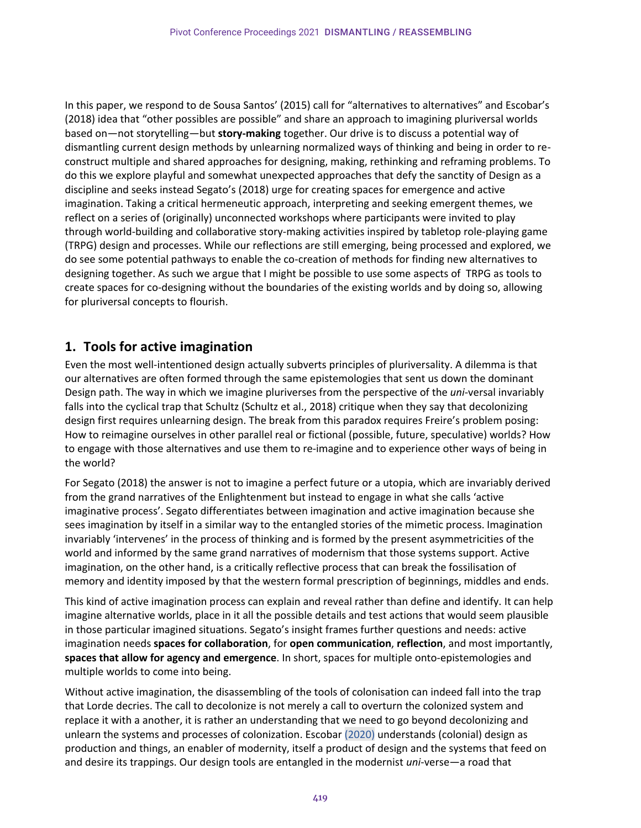In this paper, we respond to de Sousa Santos' (2015) call for "alternatives to alternatives" and Escobar's (2018) idea that "other possibles are possible" and share an approach to imagining pluriversal worlds based on—not storytelling—but **story-making** together. Our drive is to discuss a potential way of dismantling current design methods by unlearning normalized ways of thinking and being in order to reconstruct multiple and shared approaches for designing, making, rethinking and reframing problems. To do this we explore playful and somewhat unexpected approaches that defy the sanctity of Design as a discipline and seeks instead Segato's (2018) urge for creating spaces for emergence and active imagination. Taking a critical hermeneutic approach, interpreting and seeking emergent themes, we reflect on a series of (originally) unconnected workshops where participants were invited to play through world-building and collaborative story-making activities inspired by tabletop role-playing game (TRPG) design and processes. While our reflections are still emerging, being processed and explored, we do see some potential pathways to enable the co-creation of methods for finding new alternatives to designing together. As such we argue that I might be possible to use some aspects of TRPG as tools to create spaces for co-designing without the boundaries of the existing worlds and by doing so, allowing for pluriversal concepts to flourish.

## **1. Tools for active imagination**

Even the most well-intentioned design actually subverts principles of pluriversality. A dilemma is that our alternatives are often formed through the same epistemologies that sent us down the dominant Design path. The way in which we imagine pluriverses from the perspective of the *uni*-versal invariably falls into the cyclical trap that Schultz (Schultz et al., 2018) critique when they say that decolonizing design first requires unlearning design. The break from this paradox requires Freire's problem posing: How to reimagine ourselves in other parallel real or fictional (possible, future, speculative) worlds? How to engage with those alternatives and use them to re-imagine and to experience other ways of being in the world?

For Segato (2018) the answer is not to imagine a perfect future or a utopia, which are invariably derived from the grand narratives of the Enlightenment but instead to engage in what she calls 'active imaginative process'. Segato differentiates between imagination and active imagination because she sees imagination by itself in a similar way to the entangled stories of the mimetic process. Imagination invariably 'intervenes' in the process of thinking and is formed by the present asymmetricities of the world and informed by the same grand narratives of modernism that those systems support. Active imagination, on the other hand, is a critically reflective process that can break the fossilisation of memory and identity imposed by that the western formal prescription of beginnings, middles and ends.

This kind of active imagination process can explain and reveal rather than define and identify. It can help imagine alternative worlds, place in it all the possible details and test actions that would seem plausible in those particular imagined situations. Segato's insight frames further questions and needs: active imagination needs **spaces for collaboration**, for **open communication**, **reflection**, and most importantly, **spaces that allow for agency and emergence**. In short, spaces for multiple onto-epistemologies and multiple worlds to come into being.

Without active imagination, the disassembling of the tools of colonisation can indeed fall into the trap that Lorde decries. The call to decolonize is not merely a call to overturn the colonized system and replace it with a another, it is rather an understanding that we need to go beyond decolonizing and unlearn the systems and processes of colonization. Escobar (2020) understands (colonial) design as production and things, an enabler of modernity, itself a product of design and the systems that feed on and desire its trappings. Our design tools are entangled in the modernist *uni*-verse—a road that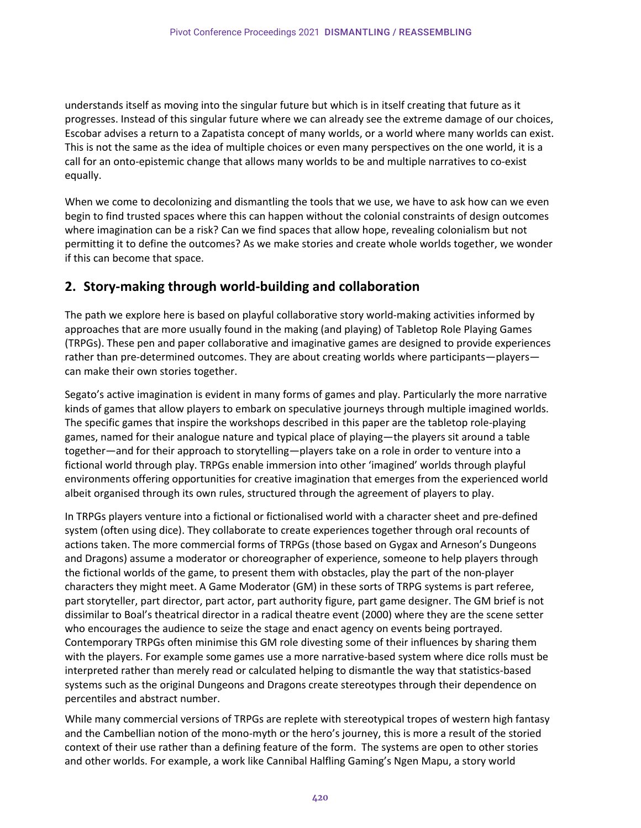understands itself as moving into the singular future but which is in itself creating that future as it progresses. Instead of this singular future where we can already see the extreme damage of our choices, Escobar advises a return to a Zapatista concept of many worlds, or a world where many worlds can exist. This is not the same as the idea of multiple choices or even many perspectives on the one world, it is a call for an onto-epistemic change that allows many worlds to be and multiple narratives to co-exist equally.

When we come to decolonizing and dismantling the tools that we use, we have to ask how can we even begin to find trusted spaces where this can happen without the colonial constraints of design outcomes where imagination can be a risk? Can we find spaces that allow hope, revealing colonialism but not permitting it to define the outcomes? As we make stories and create whole worlds together, we wonder if this can become that space.

# **2. Story-making through world-building and collaboration**

The path we explore here is based on playful collaborative story world-making activities informed by approaches that are more usually found in the making (and playing) of Tabletop Role Playing Games (TRPGs). These pen and paper collaborative and imaginative games are designed to provide experiences rather than pre-determined outcomes. They are about creating worlds where participants—players can make their own stories together.

Segato's active imagination is evident in many forms of games and play. Particularly the more narrative kinds of games that allow players to embark on speculative journeys through multiple imagined worlds. The specific games that inspire the workshops described in this paper are the tabletop role-playing games, named for their analogue nature and typical place of playing—the players sit around a table together—and for their approach to storytelling—players take on a role in order to venture into a fictional world through play. TRPGs enable immersion into other 'imagined' worlds through playful environments offering opportunities for creative imagination that emerges from the experienced world albeit organised through its own rules, structured through the agreement of players to play.

In TRPGs players venture into a fictional or fictionalised world with a character sheet and pre-defined system (often using dice). They collaborate to create experiences together through oral recounts of actions taken. The more commercial forms of TRPGs (those based on Gygax and Arneson's Dungeons and Dragons) assume a moderator or choreographer of experience, someone to help players through the fictional worlds of the game, to present them with obstacles, play the part of the non-player characters they might meet. A Game Moderator (GM) in these sorts of TRPG systems is part referee, part storyteller, part director, part actor, part authority figure, part game designer. The GM brief is not dissimilar to Boal's theatrical director in a radical theatre event (2000) where they are the scene setter who encourages the audience to seize the stage and enact agency on events being portrayed. Contemporary TRPGs often minimise this GM role divesting some of their influences by sharing them with the players. For example some games use a more narrative-based system where dice rolls must be interpreted rather than merely read or calculated helping to dismantle the way that statistics-based systems such as the original Dungeons and Dragons create stereotypes through their dependence on percentiles and abstract number.

While many commercial versions of TRPGs are replete with stereotypical tropes of western high fantasy and the Cambellian notion of the mono-myth or the hero's journey, this is more a result of the storied context of their use rather than a defining feature of the form. The systems are open to other stories and other worlds. For example, a work like Cannibal Halfling Gaming's Ngen Mapu, a story world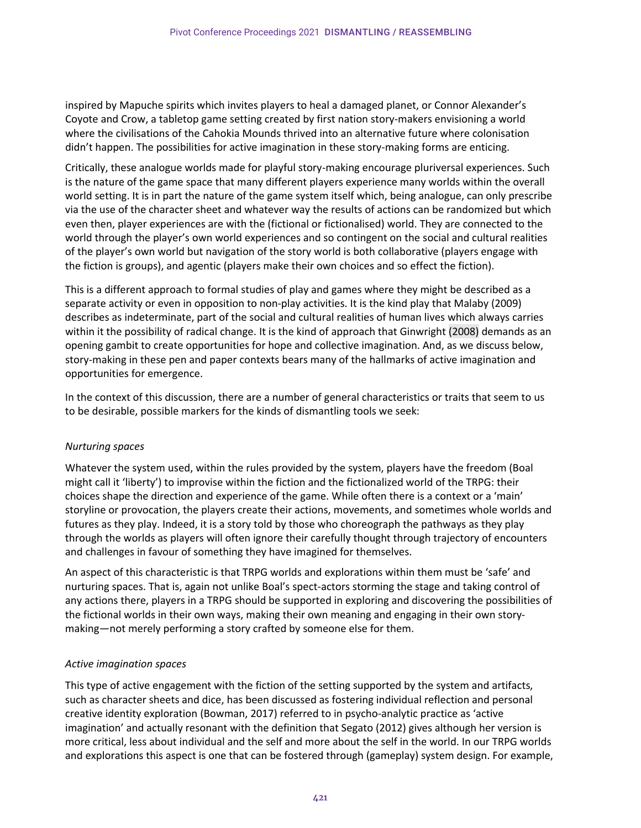inspired by Mapuche spirits which invites players to heal a damaged planet, or Connor Alexander's Coyote and Crow, a tabletop game setting created by first nation story-makers envisioning a world where the civilisations of the Cahokia Mounds thrived into an alternative future where colonisation didn't happen. The possibilities for active imagination in these story-making forms are enticing.

Critically, these analogue worlds made for playful story-making encourage pluriversal experiences. Such is the nature of the game space that many different players experience many worlds within the overall world setting. It is in part the nature of the game system itself which, being analogue, can only prescribe via the use of the character sheet and whatever way the results of actions can be randomized but which even then, player experiences are with the (fictional or fictionalised) world. They are connected to the world through the player's own world experiences and so contingent on the social and cultural realities of the player's own world but navigation of the story world is both collaborative (players engage with the fiction is groups), and agentic (players make their own choices and so effect the fiction).

This is a different approach to formal studies of play and games where they might be described as a separate activity or even in opposition to non-play activities. It is the kind play that Malaby (2009) describes as indeterminate, part of the social and cultural realities of human lives which always carries within it the possibility of radical change. It is the kind of approach that Ginwright (2008) demands as an opening gambit to create opportunities for hope and collective imagination. And, as we discuss below, story-making in these pen and paper contexts bears many of the hallmarks of active imagination and opportunities for emergence.

In the context of this discussion, there are a number of general characteristics or traits that seem to us to be desirable, possible markers for the kinds of dismantling tools we seek:

#### *Nurturing spaces*

Whatever the system used, within the rules provided by the system, players have the freedom (Boal might call it 'liberty') to improvise within the fiction and the fictionalized world of the TRPG: their choices shape the direction and experience of the game. While often there is a context or a 'main' storyline or provocation, the players create their actions, movements, and sometimes whole worlds and futures as they play. Indeed, it is a story told by those who choreograph the pathways as they play through the worlds as players will often ignore their carefully thought through trajectory of encounters and challenges in favour of something they have imagined for themselves.

An aspect of this characteristic is that TRPG worlds and explorations within them must be 'safe' and nurturing spaces. That is, again not unlike Boal's spect-actors storming the stage and taking control of any actions there, players in a TRPG should be supported in exploring and discovering the possibilities of the fictional worlds in their own ways, making their own meaning and engaging in their own storymaking—not merely performing a story crafted by someone else for them.

#### *Active imagination spaces*

This type of active engagement with the fiction of the setting supported by the system and artifacts, such as character sheets and dice, has been discussed as fostering individual reflection and personal creative identity exploration (Bowman, 2017) referred to in psycho-analytic practice as 'active imagination' and actually resonant with the definition that Segato (2012) gives although her version is more critical, less about individual and the self and more about the self in the world. In our TRPG worlds and explorations this aspect is one that can be fostered through (gameplay) system design. For example,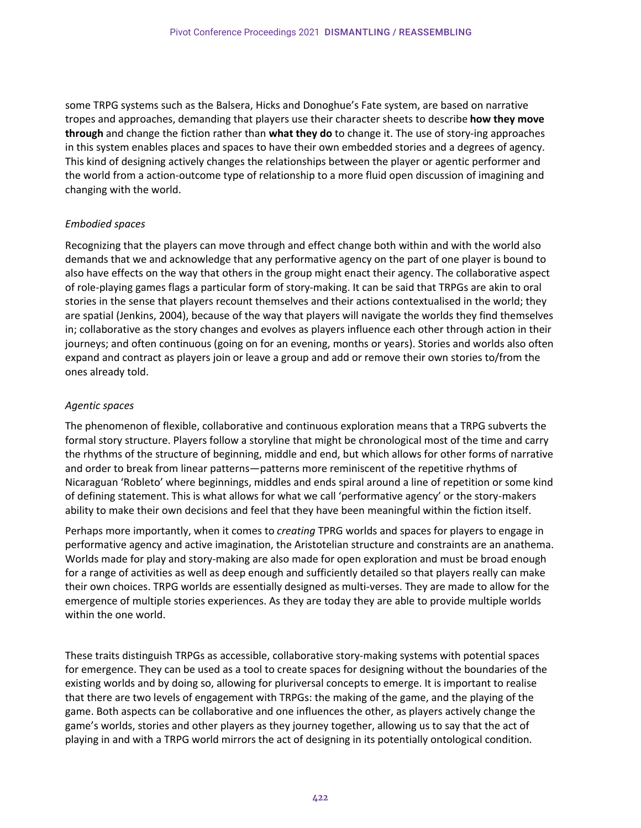some TRPG systems such as the Balsera, Hicks and Donoghue's Fate system, are based on narrative tropes and approaches, demanding that players use their character sheets to describe **how they move through** and change the fiction rather than **what they do** to change it. The use of story-ing approaches in this system enables places and spaces to have their own embedded stories and a degrees of agency. This kind of designing actively changes the relationships between the player or agentic performer and the world from a action-outcome type of relationship to a more fluid open discussion of imagining and changing with the world.

#### *Embodied spaces*

Recognizing that the players can move through and effect change both within and with the world also demands that we and acknowledge that any performative agency on the part of one player is bound to also have effects on the way that others in the group might enact their agency. The collaborative aspect of role-playing games flags a particular form of story-making. It can be said that TRPGs are akin to oral stories in the sense that players recount themselves and their actions contextualised in the world; they are spatial (Jenkins, 2004), because of the way that players will navigate the worlds they find themselves in; collaborative as the story changes and evolves as players influence each other through action in their journeys; and often continuous (going on for an evening, months or years). Stories and worlds also often expand and contract as players join or leave a group and add or remove their own stories to/from the ones already told.

#### *Agentic spaces*

The phenomenon of flexible, collaborative and continuous exploration means that a TRPG subverts the formal story structure. Players follow a storyline that might be chronological most of the time and carry the rhythms of the structure of beginning, middle and end, but which allows for other forms of narrative and order to break from linear patterns—patterns more reminiscent of the repetitive rhythms of Nicaraguan 'Robleto' where beginnings, middles and ends spiral around a line of repetition or some kind of defining statement. This is what allows for what we call 'performative agency' or the story-makers ability to make their own decisions and feel that they have been meaningful within the fiction itself.

Perhaps more importantly, when it comes to *creating* TPRG worlds and spaces for players to engage in performative agency and active imagination, the Aristotelian structure and constraints are an anathema. Worlds made for play and story-making are also made for open exploration and must be broad enough for a range of activities as well as deep enough and sufficiently detailed so that players really can make their own choices. TRPG worlds are essentially designed as multi-verses. They are made to allow for the emergence of multiple stories experiences. As they are today they are able to provide multiple worlds within the one world.

These traits distinguish TRPGs as accessible, collaborative story-making systems with potential spaces for emergence. They can be used as a tool to create spaces for designing without the boundaries of the existing worlds and by doing so, allowing for pluriversal concepts to emerge. It is important to realise that there are two levels of engagement with TRPGs: the making of the game, and the playing of the game. Both aspects can be collaborative and one influences the other, as players actively change the game's worlds, stories and other players as they journey together, allowing us to say that the act of playing in and with a TRPG world mirrors the act of designing in its potentially ontological condition.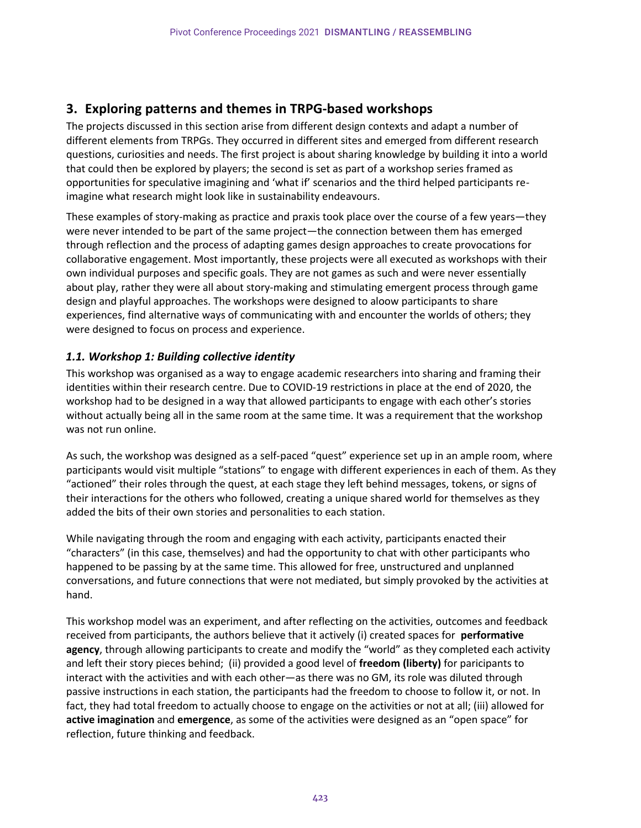## **3. Exploring patterns and themes in TRPG-based workshops**

The projects discussed in this section arise from different design contexts and adapt a number of different elements from TRPGs. They occurred in different sites and emerged from different research questions, curiosities and needs. The first project is about sharing knowledge by building it into a world that could then be explored by players; the second is set as part of a workshop series framed as opportunities for speculative imagining and 'what if' scenarios and the third helped participants reimagine what research might look like in sustainability endeavours.

These examples of story-making as practice and praxis took place over the course of a few years—they were never intended to be part of the same project—the connection between them has emerged through reflection and the process of adapting games design approaches to create provocations for collaborative engagement. Most importantly, these projects were all executed as workshops with their own individual purposes and specific goals. They are not games as such and were never essentially about play, rather they were all about story-making and stimulating emergent process through game design and playful approaches. The workshops were designed to aloow participants to share experiences, find alternative ways of communicating with and encounter the worlds of others; they were designed to focus on process and experience.

## *1.1. Workshop 1: Building collective identity*

This workshop was organised as a way to engage academic researchers into sharing and framing their identities within their research centre. Due to COVID-19 restrictions in place at the end of 2020, the workshop had to be designed in a way that allowed participants to engage with each other's stories without actually being all in the same room at the same time. It was a requirement that the workshop was not run online.

As such, the workshop was designed as a self-paced "quest" experience set up in an ample room, where participants would visit multiple "stations" to engage with different experiences in each of them. As they "actioned" their roles through the quest, at each stage they left behind messages, tokens, or signs of their interactions for the others who followed, creating a unique shared world for themselves as they added the bits of their own stories and personalities to each station.

While navigating through the room and engaging with each activity, participants enacted their "characters" (in this case, themselves) and had the opportunity to chat with other participants who happened to be passing by at the same time. This allowed for free, unstructured and unplanned conversations, and future connections that were not mediated, but simply provoked by the activities at hand.

This workshop model was an experiment, and after reflecting on the activities, outcomes and feedback received from participants, the authors believe that it actively (i) created spaces for **performative agency**, through allowing participants to create and modify the "world" as they completed each activity and left their story pieces behind; (ii) provided a good level of **freedom (liberty)** for paricipants to interact with the activities and with each other—as there was no GM, its role was diluted through passive instructions in each station, the participants had the freedom to choose to follow it, or not. In fact, they had total freedom to actually choose to engage on the activities or not at all; (iii) allowed for **active imagination** and **emergence**, as some of the activities were designed as an "open space" for reflection, future thinking and feedback.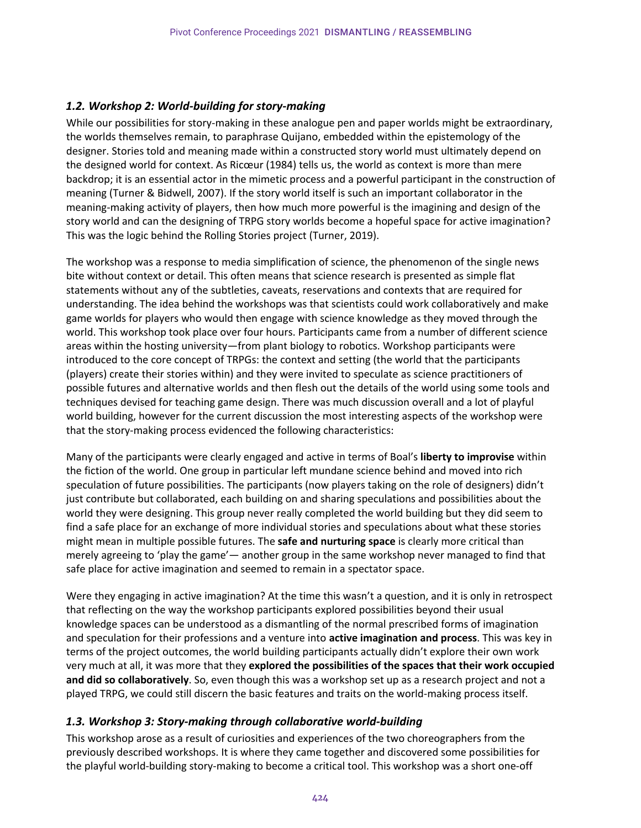### *1.2. Workshop 2: World-building for story-making*

While our possibilities for story-making in these analogue pen and paper worlds might be extraordinary, the worlds themselves remain, to paraphrase Quijano, embedded within the epistemology of the designer. Stories told and meaning made within a constructed story world must ultimately depend on the designed world for context. As Ricœur (1984) tells us, the world as context is more than mere backdrop; it is an essential actor in the mimetic process and a powerful participant in the construction of meaning (Turner & Bidwell, 2007). If the story world itself is such an important collaborator in the meaning-making activity of players, then how much more powerful is the imagining and design of the story world and can the designing of TRPG story worlds become a hopeful space for active imagination? This was the logic behind the Rolling Stories project (Turner, 2019).

The workshop was a response to media simplification of science, the phenomenon of the single news bite without context or detail. This often means that science research is presented as simple flat statements without any of the subtleties, caveats, reservations and contexts that are required for understanding. The idea behind the workshops was that scientists could work collaboratively and make game worlds for players who would then engage with science knowledge as they moved through the world. This workshop took place over four hours. Participants came from a number of different science areas within the hosting university—from plant biology to robotics. Workshop participants were introduced to the core concept of TRPGs: the context and setting (the world that the participants (players) create their stories within) and they were invited to speculate as science practitioners of possible futures and alternative worlds and then flesh out the details of the world using some tools and techniques devised for teaching game design. There was much discussion overall and a lot of playful world building, however for the current discussion the most interesting aspects of the workshop were that the story-making process evidenced the following characteristics:

Many of the participants were clearly engaged and active in terms of Boal's **liberty to improvise** within the fiction of the world. One group in particular left mundane science behind and moved into rich speculation of future possibilities. The participants (now players taking on the role of designers) didn't just contribute but collaborated, each building on and sharing speculations and possibilities about the world they were designing. This group never really completed the world building but they did seem to find a safe place for an exchange of more individual stories and speculations about what these stories might mean in multiple possible futures. The **safe and nurturing space** is clearly more critical than merely agreeing to 'play the game'— another group in the same workshop never managed to find that safe place for active imagination and seemed to remain in a spectator space.

Were they engaging in active imagination? At the time this wasn't a question, and it is only in retrospect that reflecting on the way the workshop participants explored possibilities beyond their usual knowledge spaces can be understood as a dismantling of the normal prescribed forms of imagination and speculation for their professions and a venture into **active imagination and process**. This was key in terms of the project outcomes, the world building participants actually didn't explore their own work very much at all, it was more that they **explored the possibilities of the spaces that their work occupied and did so collaboratively**. So, even though this was a workshop set up as a research project and not a played TRPG, we could still discern the basic features and traits on the world-making process itself.

#### *1.3. Workshop 3: Story-making through collaborative world-building*

This workshop arose as a result of curiosities and experiences of the two choreographers from the previously described workshops. It is where they came together and discovered some possibilities for the playful world-building story-making to become a critical tool. This workshop was a short one-off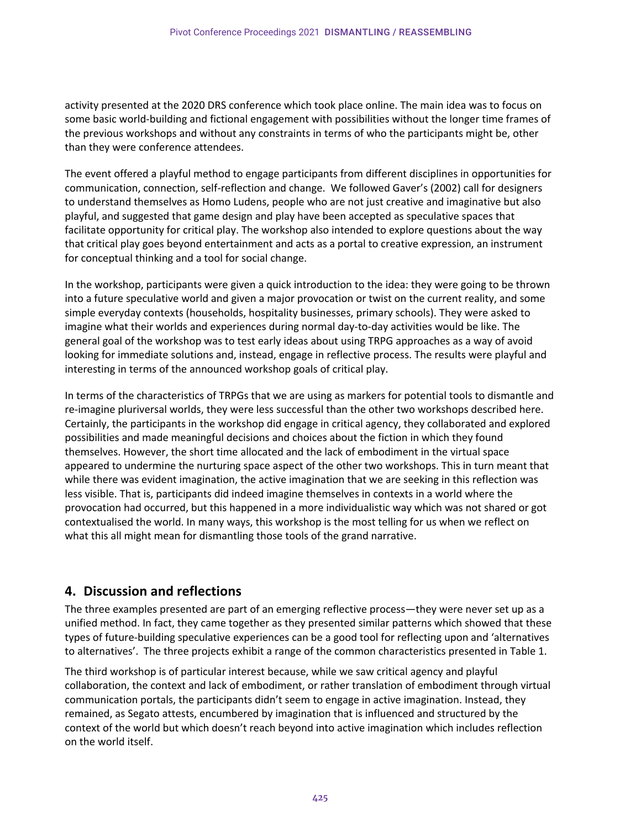activity presented at the 2020 DRS conference which took place online. The main idea was to focus on some basic world-building and fictional engagement with possibilities without the longer time frames of the previous workshops and without any constraints in terms of who the participants might be, other than they were conference attendees.

The event offered a playful method to engage participants from different disciplines in opportunities for communication, connection, self-reflection and change. We followed Gaver's (2002) call for designers to understand themselves as Homo Ludens, people who are not just creative and imaginative but also playful, and suggested that game design and play have been accepted as speculative spaces that facilitate opportunity for critical play. The workshop also intended to explore questions about the way that critical play goes beyond entertainment and acts as a portal to creative expression, an instrument for conceptual thinking and a tool for social change.

In the workshop, participants were given a quick introduction to the idea: they were going to be thrown into a future speculative world and given a major provocation or twist on the current reality, and some simple everyday contexts (households, hospitality businesses, primary schools). They were asked to imagine what their worlds and experiences during normal day-to-day activities would be like. The general goal of the workshop was to test early ideas about using TRPG approaches as a way of avoid looking for immediate solutions and, instead, engage in reflective process. The results were playful and interesting in terms of the announced workshop goals of critical play.

In terms of the characteristics of TRPGs that we are using as markers for potential tools to dismantle and re-imagine pluriversal worlds, they were less successful than the other two workshops described here. Certainly, the participants in the workshop did engage in critical agency, they collaborated and explored possibilities and made meaningful decisions and choices about the fiction in which they found themselves. However, the short time allocated and the lack of embodiment in the virtual space appeared to undermine the nurturing space aspect of the other two workshops. This in turn meant that while there was evident imagination, the active imagination that we are seeking in this reflection was less visible. That is, participants did indeed imagine themselves in contexts in a world where the provocation had occurred, but this happened in a more individualistic way which was not shared or got contextualised the world. In many ways, this workshop is the most telling for us when we reflect on what this all might mean for dismantling those tools of the grand narrative.

## **4. Discussion and reflections**

The three examples presented are part of an emerging reflective process—they were never set up as a unified method. In fact, they came together as they presented similar patterns which showed that these types of future-building speculative experiences can be a good tool for reflecting upon and 'alternatives to alternatives'. The three projects exhibit a range of the common characteristics presented in Table 1.

The third workshop is of particular interest because, while we saw critical agency and playful collaboration, the context and lack of embodiment, or rather translation of embodiment through virtual communication portals, the participants didn't seem to engage in active imagination. Instead, they remained, as Segato attests, encumbered by imagination that is influenced and structured by the context of the world but which doesn't reach beyond into active imagination which includes reflection on the world itself.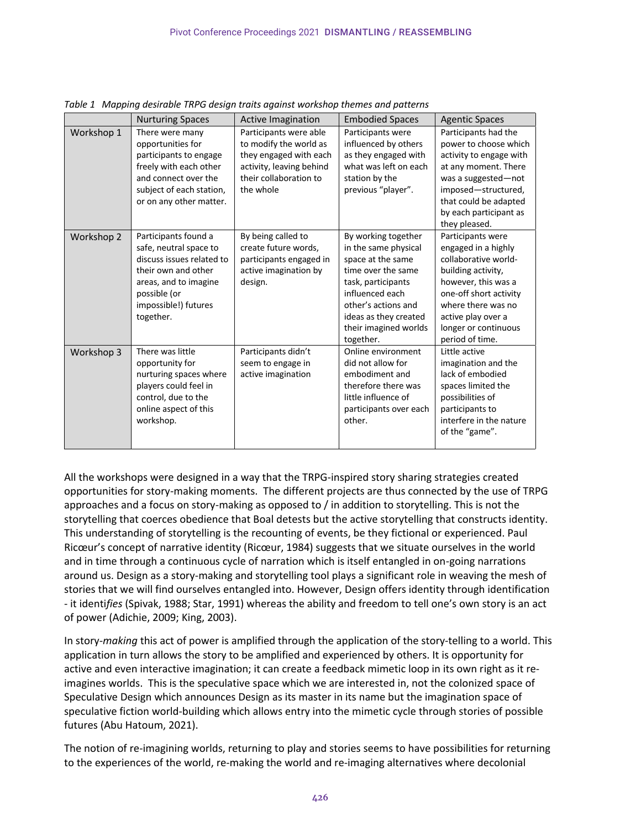|            | <b>Nurturing Spaces</b>                                                                                                                                                          | Active Imagination                                                                                                                            | <b>Embodied Spaces</b>                                                                                                                                                                                                | <b>Agentic Spaces</b>                                                                                                                                                                                                          |
|------------|----------------------------------------------------------------------------------------------------------------------------------------------------------------------------------|-----------------------------------------------------------------------------------------------------------------------------------------------|-----------------------------------------------------------------------------------------------------------------------------------------------------------------------------------------------------------------------|--------------------------------------------------------------------------------------------------------------------------------------------------------------------------------------------------------------------------------|
| Workshop 1 | There were many<br>opportunities for<br>participants to engage<br>freely with each other<br>and connect over the<br>subject of each station,<br>or on any other matter.          | Participants were able<br>to modify the world as<br>they engaged with each<br>activity, leaving behind<br>their collaboration to<br>the whole | Participants were<br>influenced by others<br>as they engaged with<br>what was left on each<br>station by the<br>previous "player".                                                                                    | Participants had the<br>power to choose which<br>activity to engage with<br>at any moment. There<br>was a suggested-not<br>imposed-structured,<br>that could be adapted<br>by each participant as<br>they pleased.             |
| Workshop 2 | Participants found a<br>safe, neutral space to<br>discuss issues related to<br>their own and other<br>areas, and to imagine<br>possible (or<br>impossible!) futures<br>together. | By being called to<br>create future words,<br>participants engaged in<br>active imagination by<br>design.                                     | By working together<br>in the same physical<br>space at the same<br>time over the same<br>task, participants<br>influenced each<br>other's actions and<br>ideas as they created<br>their imagined worlds<br>together. | Participants were<br>engaged in a highly<br>collaborative world-<br>building activity,<br>however, this was a<br>one-off short activity<br>where there was no<br>active play over a<br>longer or continuous<br>period of time. |
| Workshop 3 | There was little<br>opportunity for<br>nurturing spaces where<br>players could feel in<br>control, due to the<br>online aspect of this<br>workshop.                              | Participants didn't<br>seem to engage in<br>active imagination                                                                                | Online environment<br>did not allow for<br>embodiment and<br>therefore there was<br>little influence of<br>participants over each<br>other.                                                                           | Little active<br>imagination and the<br>lack of embodied<br>spaces limited the<br>possibilities of<br>participants to<br>interfere in the nature<br>of the "game".                                                             |

*Table 1 Mapping desirable TRPG design traits against workshop themes and patterns* 

All the workshops were designed in a way that the TRPG-inspired story sharing strategies created opportunities for story-making moments. The different projects are thus connected by the use of TRPG approaches and a focus on story-making as opposed to / in addition to storytelling. This is not the storytelling that coerces obedience that Boal detests but the active storytelling that constructs identity. This understanding of storytelling is the recounting of events, be they fictional or experienced. Paul Ricœur's concept of narrative identity (Ricœur, 1984) suggests that we situate ourselves in the world and in time through a continuous cycle of narration which is itself entangled in on-going narrations around us. Design as a story-making and storytelling tool plays a significant role in weaving the mesh of stories that we will find ourselves entangled into. However, Design offers identity through identification - it identi*fies* (Spivak, 1988; Star, 1991) whereas the ability and freedom to tell one's own story is an act of power (Adichie, 2009; King, 2003).

In story-*making* this act of power is amplified through the application of the story-telling to a world. This application in turn allows the story to be amplified and experienced by others. It is opportunity for active and even interactive imagination; it can create a feedback mimetic loop in its own right as it reimagines worlds. This is the speculative space which we are interested in, not the colonized space of Speculative Design which announces Design as its master in its name but the imagination space of speculative fiction world-building which allows entry into the mimetic cycle through stories of possible futures (Abu Hatoum, 2021).

The notion of re-imagining worlds, returning to play and stories seems to have possibilities for returning to the experiences of the world, re-making the world and re-imaging alternatives where decolonial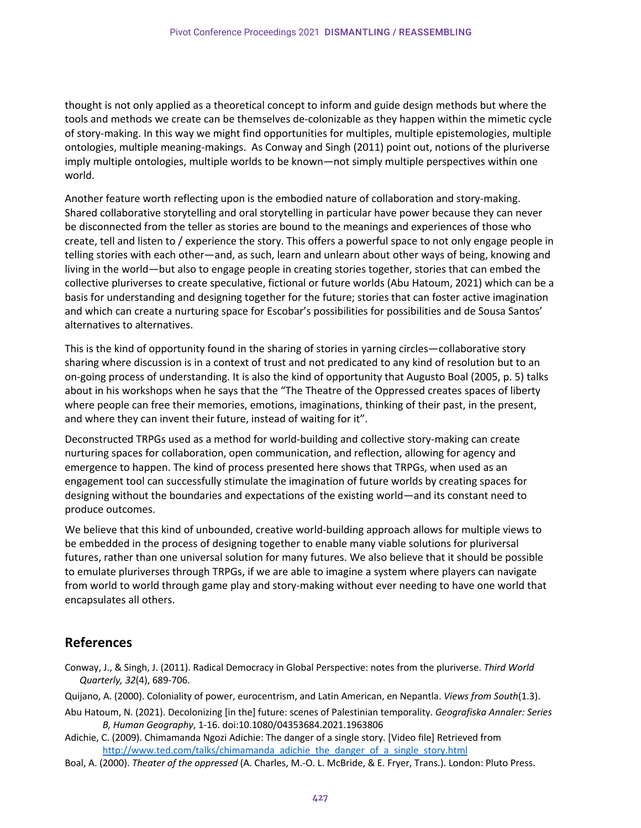thought is not only applied as a theoretical concept to inform and guide design methods but where the tools and methods we create can be themselves de-colonizable as they happen within the mimetic cycle of story-making. In this way we might find opportunities for multiples, multiple epistemologies, multiple ontologies, multiple meaning-makings. As Conway and Singh (2011) point out, notions of the pluriverse imply multiple ontologies, multiple worlds to be known—not simply multiple perspectives within one world.

Another feature worth reflecting upon is the embodied nature of collaboration and story-making. Shared collaborative storytelling and oral storytelling in particular have power because they can never be disconnected from the teller as stories are bound to the meanings and experiences of those who create, tell and listen to / experience the story. This offers a powerful space to not only engage people in telling stories with each other—and, as such, learn and unlearn about other ways of being, knowing and living in the world—but also to engage people in creating stories together, stories that can embed the collective pluriverses to create speculative, fictional or future worlds (Abu Hatoum, 2021) which can be a basis for understanding and designing together for the future; stories that can foster active imagination and which can create a nurturing space for Escobar's possibilities for possibilities and de Sousa Santos' alternatives to alternatives.

This is the kind of opportunity found in the sharing of stories in yarning circles—collaborative story sharing where discussion is in a context of trust and not predicated to any kind of resolution but to an on-going process of understanding. It is also the kind of opportunity that Augusto Boal (2005, p. 5) talks about in his workshops when he says that the "The Theatre of the Oppressed creates spaces of liberty where people can free their memories, emotions, imaginations, thinking of their past, in the present, and where they can invent their future, instead of waiting for it".

Deconstructed TRPGs used as a method for world-building and collective story-making can create nurturing spaces for collaboration, open communication, and reflection, allowing for agency and emergence to happen. The kind of process presented here shows that TRPGs, when used as an engagement tool can successfully stimulate the imagination of future worlds by creating spaces for designing without the boundaries and expectations of the existing world—and its constant need to produce outcomes.

We believe that this kind of unbounded, creative world-building approach allows for multiple views to be embedded in the process of designing together to enable many viable solutions for pluriversal futures, rather than one universal solution for many futures. We also believe that it should be possible to emulate pluriverses through TRPGs, if we are able to imagine a system where players can navigate from world to world through game play and story-making without ever needing to have one world that encapsulates all others.

## **References**

- Conway, J., & Singh, J. (2011). Radical Democracy in Global Perspective: notes from the pluriverse. *Third World Quarterly, 32*(4), 689-706.
- Quijano, A. (2000). Coloniality of power, eurocentrism, and Latin American, en Nepantla. *Views from South*(1.3).
- Abu Hatoum, N. (2021). Decolonizing [in the] future: scenes of Palestinian temporality. *Geografiska Annaler: Series B, Human Geography*, 1-16. doi:10.1080/04353684.2021.1963806
- Adichie, C. (2009). Chimamanda Ngozi Adichie: The danger of a single story. [Video file] Retrieved from http://www.ted.com/talks/chimamanda\_adichie\_the\_danger\_of\_a\_single\_story.html
- Boal, A. (2000). *Theater of the oppressed* (A. Charles, M.-O. L. McBride, & E. Fryer, Trans.). London: Pluto Press.